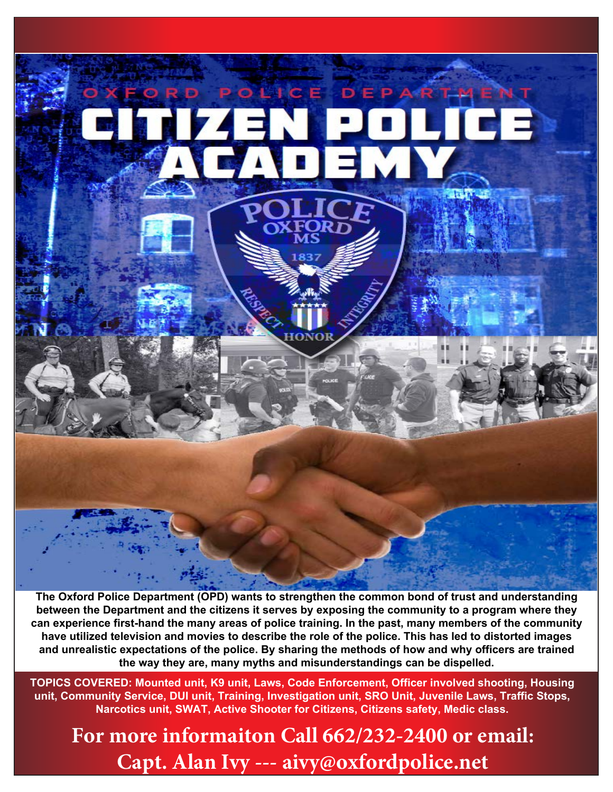

**The Oxford Police Department (OPD) wants to strengthen the common bond of trust and understanding between the Department and the citizens it serves by exposing the community to a program where they can experience first-hand the many areas of police training. In the past, many members of the community have utilized television and movies to describe the role of the police. This has led to distorted images and unrealistic expectations of the police. By sharing the methods of how and why officers are trained the way they are, many myths and misunderstandings can be dispelled.**

**TOPICS COVERED: Mounted unit, K9 unit, Laws, Code Enforcement, Officer involved shooting, Housing unit, Community Service, DUI unit, Training, Investigation unit, SRO Unit, Juvenile Laws, Traffic Stops, Narcotics unit, SWAT, Active Shooter for Citizens, Citizens safety, Medic class.**

**For more informaiton Call 662/232-2400 or email: Capt. Alan Ivy --- aivy@oxfordpolice.net**